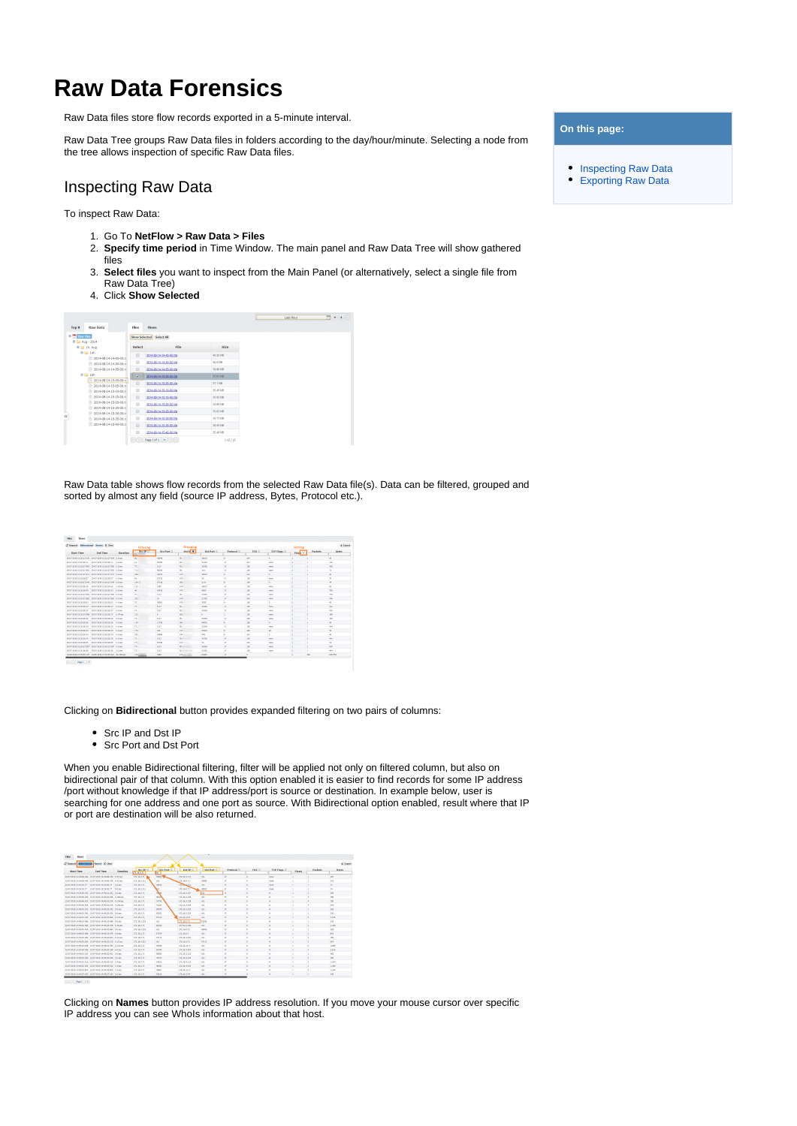## **Raw Data Forensics**

Raw Data files store flow records exported in a 5-minute interval.

Raw Data Tree groups Raw Data files in folders according to the day/hour/minute. Selecting a node from the tree allows inspection of specific Raw Data files.

## <span id="page-0-0"></span>Inspecting Raw Data

To inspect Raw Data:

- 1. Go To **NetFlow > Raw Data > Files**
- 2. **Specify time period** in Time Window. The main panel and Raw Data Tree will show gathered files
- 3. **Select files** you want to inspect from the Main Panel (or alternatively, select a single file from Raw Data Tree)
- 4. Click **Show Selected**

|                                                |        |                          |               | Last Hour | 面鱼鱼① |
|------------------------------------------------|--------|--------------------------|---------------|-----------|------|
| Raw Data<br><b>Top N</b>                       | Files  | Flows                    |               |           |      |
| <b>B</b> to Raw Files                          |        | Show Selected Select All |               |           |      |
| 8 IS Aug. 2014                                 |        |                          |               |           |      |
| 8 El 14, Aug                                   | Select | File                     | <b>Size</b>   |           |      |
| <b>B [iii 14h</b>                              | 0      | 2014-08-14-14-45-00.nfa  | 40.25 MB      |           |      |
| 2014-08-14-14-45-00 m<br>2014-08-14-14-50-00.n | $\Box$ | 2014-08-14-14-50-00 nfa  | 40.938        |           |      |
| 2014-08-14-14-55-00.n                          | 0      | 2014-08-14-14-55-00.nfa  | 39.66.189     |           |      |
| <b>B</b> IS 15h                                | ۰      | 2014-08-14-15-00-00 r/a  | 37.81118      |           |      |
| 2014-08-14-15-00-00 n                          | 自      | 2014-08-14-15-05-00.r/a  | 37.1189       |           |      |
| 2014-08-14-15-05-00.n                          | 田      | 2014-08-14-15-10-00.r/a  | 35.45 MB      |           |      |
| 2014-08-14-15-10-00.n<br>2014-08-14-15-15-00.n | 田      |                          | 35.83 MB      |           |      |
| 2014-08-14-15-20-00 n                          |        | 2014-08-14-15-15-00 nfa  |               |           |      |
| 2014-08-14-15-25-00.n                          | 田      | 2014-08-14-15-20-00 nfa  | 34.95.109     |           |      |
| 2014-08-14-15-30-00.n                          | 0      | 2014-08-14-15-25-00 nfa  | 25.63.189     |           |      |
| 2014-08-14-15-35-00.n                          | 田      | 2014-08-14-15-20-03 nm   | 34.73.109     |           |      |
| 2014-08-14-15-40-00.nl                         | 日      | 2014-08-14-15-25-03.nfa  | 26.45.103     |           |      |
|                                                | 田      | 2014-08-14-15-40-00 nfa  | 35.48.189     |           |      |
|                                                |        | Page 1 of $1 - \pi$      | $1 - 12 / 12$ |           |      |

Raw Data table shows flow records from the selected Raw Data file(s). Data can be filtered, grouped and sorted by almost any field (source IP address, Bytes, Protocol etc.).

|                                   | C'heaved Indeedtoad Rames X Clear                                              |          |                                          |              | Grouping                 |             |               |            |             | Sorting          |                 | A famous        |
|-----------------------------------|--------------------------------------------------------------------------------|----------|------------------------------------------|--------------|--------------------------|-------------|---------------|------------|-------------|------------------|-----------------|-----------------|
| <b>Start Time</b>                 | Fod Time                                                                       | Daration | <b>Filtering</b><br><b>Sections</b><br>m | Sec Port O   | <b>DSLD</b> <sup>O</sup> | DO INVECT   | Perdental O   | TON O      | TEP Flags O | ÷<br><b>Heak</b> | Parkets         | Estes           |
|                                   | TAXES WERE VIOLATED ATA   TAXAS MAIN VIOLATED ATA   A A NAT                    |          | deb i                                    | a blank      | m.                       | <b>None</b> | ×             | <b>MA</b>  | ٠           |                  |                 | $\ddot{ }$      |
| TAXABLE AS YE DIVISE YE           | <b>DEADLINES VEHICLE 11   A CUA</b>                                            |          | 963                                      | <b>GENAL</b> | $^{10}$                  | 31306       | $\mathcal{D}$ | MA         | none.       |                  |                 | <b>132</b>      |
|                                   | 29-47-2819 15:20:27.995 29-07-2019 15:28:27.995 8.0 acc                        |          | 99.13                                    | 5117         | m.                       | 25356       | $\mathcal{D}$ | 129        | none        | ٠                | ٠               | 442             |
|                                   | DEATER RESIDENTS AND THE AVAILABLE VEHICLE STATES.                             |          | <b>PLAY</b>                              | 46150        | 79.                      | n(x)        | o             | <b>129</b> | none.       | ٠                | ٠               | $y_1$           |
|                                   | DOUGLAS HE WERE STATED AND COMPANY OF THE RESIDENCE OF A CHARACTER OF THE REAL |          | sis 1                                    | adable       | 100                      | 40925       | 6             | 364        | $\sim$      | ٠                | ٠               | $\triangleleft$ |
| 06.83.38 to 10-30-36 KF.          | 29-07-20th 15:28:28.07 8.0 ac                                                  |          | AG-                                      | 22713        | 1471                     | 53          | o             | 129        | none        | ٠                | ٠               | $\mathcal{H}$   |
|                                   | 29-87-2819 15:20:27.644 29-07-2019 15:28:27.944 8.0 acc                        |          | 124.1                                    | 57118        | sale.)                   | 3111        | 6             | 129        | $\sim$      | ٠                | ٠               | A4              |
| DOLED, he will not brin be. list- | 29-07-30th 15:28:30.62 2.42 mg                                                 |          | 122.                                     | 3450         | $10^{\circ}$             | seco        | o             | 120        | <b>None</b> | ٠                |                 | ×               |
| 29-87-2819 15:20:20:42            | 29-07-2019 10:20:20.40 0.0 ac-                                                 |          | AG-                                      | \$45th       | 147                      | state       | o.            | 120        | none.       | ٠                | ٠               | 366             |
|                                   | 2012/01/03 10:00:00 AM 2012/01/04 10:00:00 AM 20:00 *                          |          | 22.1                                     | 5112         | $\overline{\phantom{a}}$ | <b>HAG</b>  | $\alpha$      | 126        | none.       | ٠                | ٠               | AAS.            |
|                                   | 2012/01/03 10:20:22 ALS 2012/2014 10:00:22 ALS 8 Aver                          |          | $+20.1$                                  | SE.          | (4)                      | 1:30        | $\sqrt{2}$    | MA         | none.       | ٠                | ٠               | Tal.            |
| 06.83.38 ed v/0.00-06.81          | 29-07-30th 15:28:28.03 0.0 sec                                                 |          | 13.1                                     | atates.      | 147                      | 5000        | ĸ.            | 126        | ×           | ٠                | ٠               | $\overline{a}$  |
| 00.83.38 e0.00-30-36 T2           | 29-07-2019 15:28:28.37 8.0 sec                                                 |          | 22.1                                     | 5112         | $^{2}$                   | <b>MMG</b>  | $^{12}$       | 126        | none.       | ٠                | ٠               | 442             |
| 2012/01/24 05:20:20:32            | 2010/05/10 10:00:00 TO 10:00:00                                                |          | 22.1                                     | 5112         | 20.1                     | <b>MW</b>   | $\mathbf{a}$  | 120        | none.       | ٠                | ٠               | A42             |
| 00.83.38 (0.00.00.00.000)         | 20.03.0049 45:00:06.77 8.29 aux                                                |          | 242                                      |              | v.Ch.                    |             | $\mathbf{r}$  | $+26$      | none.       | ٠                | ٨               | sta.            |
| 2012/01/2010 00:00:00 00:         | 2010/05/10 10:00:00 00 00:00                                                   |          | 22.1                                     | 5112         | $^{26}$                  | <b>MW</b>   | $\mathbf{a}$  | <b>COL</b> | none        | ٠                | ٠               | AAS.            |
| 2012/01/2010 20:06:06             | 2947-2019 15:28:28.26 8.0 mm                                                   |          | 155                                      | crys.        | vo.                      | enne        | K.            | 126        | K.          | ٠                | ×               | $\frac{1}{2}$   |
| 2012/01/2012 02:20:20             | 2010/05/08 05:00:00 DK 8.0 MHz                                                 |          | 22.1                                     | 502          | $^{26}$                  | <b>MW</b>   | ø             | <b>COL</b> | none        | ٠                | ٠               | <b>AAA</b>      |
| 2012/01/01/02/05 05:31            | 20.03.0049 45:00:00.00 8.0 per                                                 |          | 123                                      | 44%          | <b>LOV</b>               | esson       | K.            | 126        | w.          | ٠                | ٠               | 53              |
| 20.83.38 KG VS-30-36.34           | 2010/01/19 10:00:00 TH 8.0 MHz                                                 |          | 100                                      | saw          | <b>LOC</b>               | ALC:        | ĸ             | MA         | ĸ           |                  |                 | ×               |
| 2012/01/01/02/05 06:              | 29-07-2019 10:28:28.76 8.0 sec                                                 |          | 22.1                                     | 5112         | 26                       | <b>MWK</b>  | $\sigma$      | <b>COL</b> | none        | ٠                | ٠               | <b>ALL</b>      |
| 20.87.28 KG VS 20:36.85           | 29-07-2019 10:28:28:45 8.0 sec                                                 |          | 22.1                                     | <b>KOW</b>   | <b>LOST</b>              | <b>KX</b>   | $\mathbf{a}$  | MA         | none        | ٠                | ٠               | n               |
|                                   | 29-87-2819 10:20:27:007 29-67-2019 10:20:27:007 8.0 pm                         |          | 22.1                                     | 5117         | $x = -1$                 | 35595       | $\sigma$      | 129        | none        | ٠                | ×               | 439             |
| 20.87.28 KG VS-20-2A SK           | 20.03.3049 16:30-36.55 A.O.Mc                                                  |          | 77.                                      | 5117         | $X = 0$                  | 35595       | ø             | 126        | none        |                  |                 | 444             |
|                                   | FOUR TERR PD WHO CITY. HEARING WHO RESON. AS THE WAY                           |          | 172.1                                    | <b>TWO</b>   | $(72 - 1)$               | 6589        | $\mathbf{r}$  |            | u.          | ٠                | KO <sub>1</sub> | 200,000         |

Clicking on **Bidirectional** button provides expanded filtering on two pairs of columns:

• Src IP and Dst IP

Src Port and Dst Port

When you enable Bidirectional filtering, filter will be applied not only on filtered column, but also on bidirectional pair of that column. With this option enabled it is easier to find records for some IP address /port without knowledge if that IP address/port is source or destination. In example below, user is searching for one address and one port as source. With Bidirectional option enabled, result where that IP or port are destination will be also returned.

| <b>Interclassid</b><br>Sames X Clear<br>C Reservi        |                                                           |           |                        |                            |                      |                    |                   |          |                          |                |                          |              |
|----------------------------------------------------------|-----------------------------------------------------------|-----------|------------------------|----------------------------|----------------------|--------------------|-------------------|----------|--------------------------|----------------|--------------------------|--------------|
| Start Time                                               | Fed Time:                                                 | Danielina | Swith O<br>172.95.8.71 | <b>New Beat Co.</b><br>pt. | Del 30 C.            | <b>Dal Pert Of</b> | <b>Penharal</b> O | TOS O    | TCP Flegs O              | <b>Flowers</b> | <b>Darkets</b>           | Enter        |
| 22-87-2619 14:34:06.446 22-07-2529 14:34:06.476 0.32 exi |                                                           |           | 172, 18, 0, 71         | <b>State We</b>            | 172.16.1.211         | 383                | $\mathbf{D}$      | $\circ$  | none                     | ×.             |                          | 201          |
|                                                          | 22-87-2010 14:34-06.446 22-87-2010 14:34-06.478 0.12 east |           | 122.16.3.211           | 36.1                       | 172, 18, 0, 71       | <b>TRAINS</b>      | $\mathbf{r}$      | ۱o       | new                      | ٠              |                          | 241          |
|                                                          | 22-87-3899 14:34:33.77 22:03:03:39 14:34:30:37 0.0-am     |           | 173, 18, 0, 71         | 45532                      | 177704-211           | 16.1               | $\mathbf{D}$      | o.       | new                      | m.             | ×                        | $\mathbf{z}$ |
|                                                          | 22-87-2010 14:54:33.77 22-57-2010 14:54:30.77 3.0-am      |           | 122.16.5.211           | M.                         | 172, 16, 0, 71       | 49X12              | $^{12}$           | <b>o</b> | none                     | ٠              |                          | 24           |
|                                                          | 22/27/2010 14:30:53:432 22:03:2010 14:40:01:432 2.0 sec   |           | 122, 16, 0, 71         | <b>Chat</b>                | 122.16.5.227         | <b>IKT</b>         | 12 <sup>°</sup>   | <b>o</b> | a.                       | ×.             | $\overline{z}$           | 700          |
|                                                          | 22/27/2010 14:30:53:426 22:07:2010 14:40:07:556 4:165 ser |           | 123, 16, 0, 71         | stab.                      | 123, 16, 5, 239      | 15.1               | $^{12}$           | <b>A</b> | ٠                        | ٠              | ٠                        | 380          |
|                                                          | 2012/08/01/03/03 02: 23:03:09 to @-@-03.536 14:166 per    |           | 123, 16.0.71           | 57732                      | 123, 16, 5, 235      | 151                | $^{12}$           | ×        | ٠                        |                | $\sim$                   | 385          |
|                                                          | 20-83-2010 14:30-30-406 22-03-2010 14:40-03-526 4:140 ex- |           | 123, 16.0.71           | <b>AVAIL</b>               | (23.16.5.336)        | 151                | $^{12}$           | ×        | ٠                        |                | ٠                        | 646          |
|                                                          | 22-87-2819 14:40:03.402 22-07-2919 14:40:03.432 0.0 sec   |           | 123, 16 0.71           | AVAIDS.                    | (33.16.5.300)        | 151                | 13                | w        | ٠                        |                | ×                        | 226          |
|                                                          | 10-AT-2010 salating and 73-AT-2010 salating AM (A flags   |           | 123, 16 0.71           | <b>CCHO</b>                | (33 to 5.105)        | 151                | $^{12}$           | n        | ٠                        | $\sim$         |                          | 245          |
|                                                          | TOUTUNES SAUDISTURY, TEATURES SAUDISTICAL DESIGN          |           | 120 16 n Tt            | COST                       | 172.16.13.5          | 151                | 13                | w        | ٠                        | $\sim$         |                          | 3,5%         |
|                                                          | TOUT THIS SAUDI ON ANY TEAM TO BE SERVED AND IN A way     |           | <b>139 16 5 105</b>    | 161                        | 172, 16, 0.71        | 55312              | $^{13}$           | ×        | ٠                        | $\sim$         | ٠                        | 235          |
|                                                          | TRATE/RESIDENTIALS AND TRATE/RESIDENTS AT A Muse-         |           | <b>129 16 6 T1</b>     | ANYH,                      | <b>NET GIT 5 YOF</b> | 161                | $^{12}$           | w        | ×.                       | ×.             | $\mathbb{R}$             | 1.180        |
|                                                          | TRATATION SAUDI AT TRATATION SAUDI AT A CALC              |           | 129.16.5.999           | 161                        | <b>CFR 16 0 TV</b>   | SWW.               | $^{13}$           | ×        | ٠                        | ×.             | ×                        | <b>PER</b>   |
|                                                          | TRATATION SAUDIOS AND TRATATION SAUDIOS AND IN BASE       |           | 120,000,000            | <b>CYTTS</b>               | 129.56.6.3           | 161                | $\mathbf{r}$      | $\sim$   | ×.                       | ×.             | in.                      | <b>BET</b>   |
|                                                          | 22-87-2819 14-4503.480 22-07-2919 14-40103.504 0.34 au    |           | 172.16.0.71            | \$7115                     | 172.16.4.251         | 161                | $\mathcal{D}$     | lo.      | ٨                        | ٠              | ×                        | 780          |
|                                                          | 22-87-2819 14-4503.920 22-07-2929 14-40-83.512 0.12 exc   |           | 172.16.4.251           | 361                        | 172, 18, 0.71        | 57113              | $\mathbf{r}$      | $\sim$   | $\overline{\phantom{a}}$ | ×.             | ×.                       | 834          |
|                                                          | 2247-2019 14-4503.648 2242-2229 14-4503.780 0.132 oct     |           | 172.18.0.71            | 10390                      | 172.16.13.4          | 183                | $\mathbf{r}$      | l.       | ٨                        | ×.             |                          | 1,889        |
|                                                          | 2247-2019 14:35:35.428 2242-2019 14:40:01.428 4.0 pm      |           | 172, 18, 0, 71         | <b>NOWER</b>               | 172.16.1.304         | 383                | $\mathbf{r}$      | $\circ$  | A.                       | ×.             | ٠                        | 2,408        |
|                                                          | 33-87-0010 14-45-03-452 23-57-0030 14-40-05-452 2.0-ami   |           | 172, 18, 0, 71         | 53093                      | 172, 18, 1, 221      | 36.1               | 12 <sup>°</sup>   | ×        | A                        | ٠              | х.                       | $-00$        |
|                                                          | 32-87-3010 14-45-03-436 32-93-2010 14-40-05-436 3.0 pm    |           | 173, 18, 0, 71         | 404TS                      | 123, 16, 5, 234      | 16.1               | $\mathbf{r}$      | <b>o</b> | A.                       | m.             | $\mathcal{I}$            | 395          |
|                                                          | 33-87-2010 14:40-03.112 23-97-2010 14:40-04.136 2.4 pm    |           | 173, 18, 0, 71         | 34022                      | 122, 16, 4, 213      | 16.1               | $\mathbf{12}$     | ۰        | ۸                        | ٠              | $\overline{\phantom{a}}$ | 1,204        |
|                                                          | 22-87-3810 14:40-03.536 22-03-3930 14:40-05.530 2.4 was   |           | 123, 16, 0, 71         | 49, 18.3.                  | 123, 16, 4, 254      | 161                | 12                | <b>o</b> | ٠                        | п.             | $\overline{z}$           | 1,290        |
|                                                          | 22-87-2010 14:40-03-804 22-87-2010 14:40-05-806 2-4 per   |           | 123, 16, 0, 71         | state a                    | 122, 16, 13, 3       | 16.1               | $\mathbf{12}$     | <b>A</b> | ٠                        | ٠              |                          | L100         |
| 22/27/2010 14:03:02:432 22:03:2010 14:03:07:432 0.0 ser  |                                                           |           | 123, 16, 0, 71         | <b>COLLO</b>               | 123, 16, 5, 44       | 15.1               | 12                | ×        | <b>A</b>                 | m.             | ×                        | <b>Stat</b>  |

Clicking on **Names** button provides IP address resolution. If you move your mouse cursor over specific IP address you can see WhoIs information about that host.

## **On this page:**

- [Inspecting Raw Data](#page-0-0)
- $\bullet$ [Exporting Raw Data](#page-1-0)